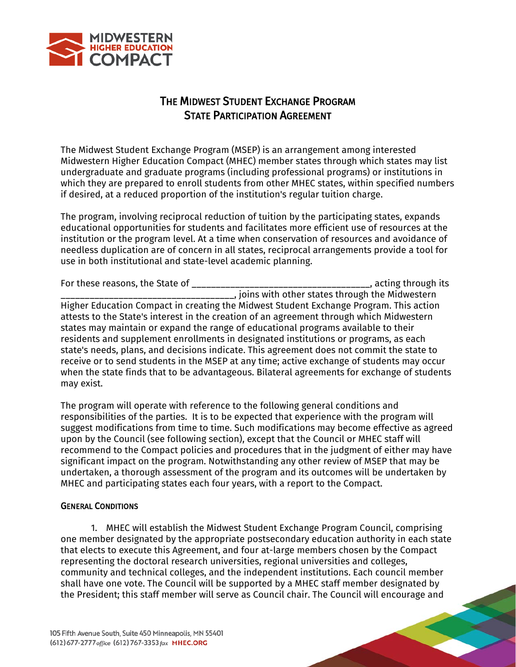

## THE MIDWEST STUDENT EXCHANGE PROGRAM STATE PARTICIPATION AGREEMENT

The Midwest Student Exchange Program (MSEP) is an arrangement among interested Midwestern Higher Education Compact (MHEC) member states through which states may list undergraduate and graduate programs (including professional programs) or institutions in which they are prepared to enroll students from other MHEC states, within specified numbers if desired, at a reduced proportion of the institution's regular tuition charge.

The program, involving reciprocal reduction of tuition by the participating states, expands educational opportunities for students and facilitates more efficient use of resources at the institution or the program level. At a time when conservation of resources and avoidance of needless duplication are of concern in all states, reciprocal arrangements provide a tool for use in both institutional and state-level academic planning.

For these reasons, the State of **Exercise 2.2 Seconds** acting through its research of  $\overline{a}$ , acting through its \_\_\_\_\_\_\_\_\_\_\_\_\_\_\_\_\_\_\_\_\_\_\_\_\_\_\_\_\_\_\_\_\_\_\_\_, joins with other states through the Midwestern Higher Education Compact in creating the Midwest Student Exchange Program. This action attests to the State's interest in the creation of an agreement through which Midwestern states may maintain or expand the range of educational programs available to their residents and supplement enrollments in designated institutions or programs, as each state's needs, plans, and decisions indicate. This agreement does not commit the state to receive or to send students in the MSEP at any time; active exchange of students may occur when the state finds that to be advantageous. Bilateral agreements for exchange of students may exist.

The program will operate with reference to the following general conditions and responsibilities of the parties. It is to be expected that experience with the program will suggest modifications from time to time. Such modifications may become effective as agreed upon by the Council (see following section), except that the Council or MHEC staff will recommend to the Compact policies and procedures that in the judgment of either may have significant impact on the program. Notwithstanding any other review of MSEP that may be undertaken, a thorough assessment of the program and its outcomes will be undertaken by MHEC and participating states each four years, with a report to the Compact.

## GENERAL CONDITIONS

1. MHEC will establish the Midwest Student Exchange Program Council, comprising one member designated by the appropriate postsecondary education authority in each state that elects to execute this Agreement, and four at-large members chosen by the Compact representing the doctoral research universities, regional universities and colleges, community and technical colleges, and the independent institutions. Each council member shall have one vote. The Council will be supported by a MHEC staff member designated by the President; this staff member will serve as Council chair. The Council will encourage and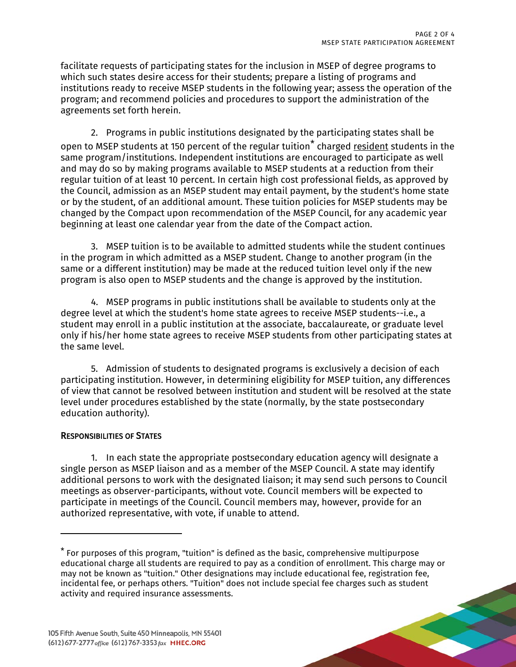facilitate requests of participating states for the inclusion in MSEP of degree programs to which such states desire access for their students; prepare a listing of programs and institutions ready to receive MSEP students in the following year; assess the operation of the program; and recommend policies and procedures to support the administration of the agreements set forth herein.

2. Programs in public institutions designated by the participating states shall be open to MSEP students at 150 percent of the regular tuition<sup>[\\*](#page-1-0)</sup> charged resident students in the same program/institutions. Independent institutions are encouraged to participate as well and may do so by making programs available to MSEP students at a reduction from their regular tuition of at least 10 percent. In certain high cost professional fields, as approved by the Council, admission as an MSEP student may entail payment, by the student's home state or by the student, of an additional amount. These tuition policies for MSEP students may be changed by the Compact upon recommendation of the MSEP Council, for any academic year beginning at least one calendar year from the date of the Compact action.

3. MSEP tuition is to be available to admitted students while the student continues in the program in which admitted as a MSEP student. Change to another program (in the same or a different institution) may be made at the reduced tuition level only if the new program is also open to MSEP students and the change is approved by the institution.

4. MSEP programs in public institutions shall be available to students only at the degree level at which the student's home state agrees to receive MSEP students--i.e., a student may enroll in a public institution at the associate, baccalaureate, or graduate level only if his/her home state agrees to receive MSEP students from other participating states at the same level.

5. Admission of students to designated programs is exclusively a decision of each participating institution. However, in determining eligibility for MSEP tuition, any differences of view that cannot be resolved between institution and student will be resolved at the state level under procedures established by the state (normally, by the state postsecondary education authority).

## RESPONSIBILITIES OF STATES

 $\overline{a}$ 

1. In each state the appropriate postsecondary education agency will designate a single person as MSEP liaison and as a member of the MSEP Council. A state may identify additional persons to work with the designated liaison; it may send such persons to Council meetings as observer-participants, without vote. Council members will be expected to participate in meetings of the Council. Council members may, however, provide for an authorized representative, with vote, if unable to attend.

<span id="page-1-0"></span><sup>\*</sup> For purposes of this program, "tuition" is defined as the basic, comprehensive multipurpose educational charge all students are required to pay as a condition of enrollment. This charge may or may not be known as "tuition." Other designations may include educational fee, registration fee, incidental fee, or perhaps others. "Tuition" does not include special fee charges such as student activity and required insurance assessments.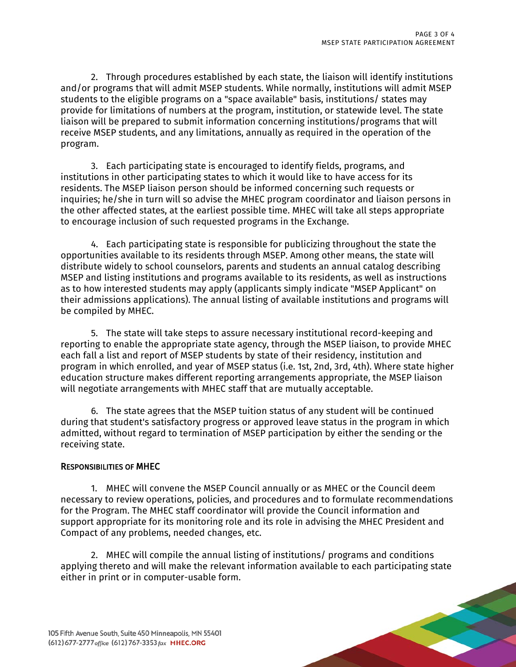2. Through procedures established by each state, the liaison will identify institutions and/or programs that will admit MSEP students. While normally, institutions will admit MSEP students to the eligible programs on a "space available" basis, institutions/ states may provide for limitations of numbers at the program, institution, or statewide level. The state liaison will be prepared to submit information concerning institutions/programs that will receive MSEP students, and any limitations, annually as required in the operation of the program.

3. Each participating state is encouraged to identify fields, programs, and institutions in other participating states to which it would like to have access for its residents. The MSEP liaison person should be informed concerning such requests or inquiries; he/she in turn will so advise the MHEC program coordinator and liaison persons in the other affected states, at the earliest possible time. MHEC will take all steps appropriate to encourage inclusion of such requested programs in the Exchange.

4. Each participating state is responsible for publicizing throughout the state the opportunities available to its residents through MSEP. Among other means, the state will distribute widely to school counselors, parents and students an annual catalog describing MSEP and listing institutions and programs available to its residents, as well as instructions as to how interested students may apply (applicants simply indicate "MSEP Applicant" on their admissions applications). The annual listing of available institutions and programs will be compiled by MHEC.

5. The state will take steps to assure necessary institutional record-keeping and reporting to enable the appropriate state agency, through the MSEP liaison, to provide MHEC each fall a list and report of MSEP students by state of their residency, institution and program in which enrolled, and year of MSEP status (i.e. 1st, 2nd, 3rd, 4th). Where state higher education structure makes different reporting arrangements appropriate, the MSEP liaison will negotiate arrangements with MHEC staff that are mutually acceptable.

6. The state agrees that the MSEP tuition status of any student will be continued during that student's satisfactory progress or approved leave status in the program in which admitted, without regard to termination of MSEP participation by either the sending or the receiving state.

## RESPONSIBILITIES OF MHEC

1. MHEC will convene the MSEP Council annually or as MHEC or the Council deem necessary to review operations, policies, and procedures and to formulate recommendations for the Program. The MHEC staff coordinator will provide the Council information and support appropriate for its monitoring role and its role in advising the MHEC President and Compact of any problems, needed changes, etc.

2. MHEC will compile the annual listing of institutions/ programs and conditions applying thereto and will make the relevant information available to each participating state either in print or in computer-usable form.